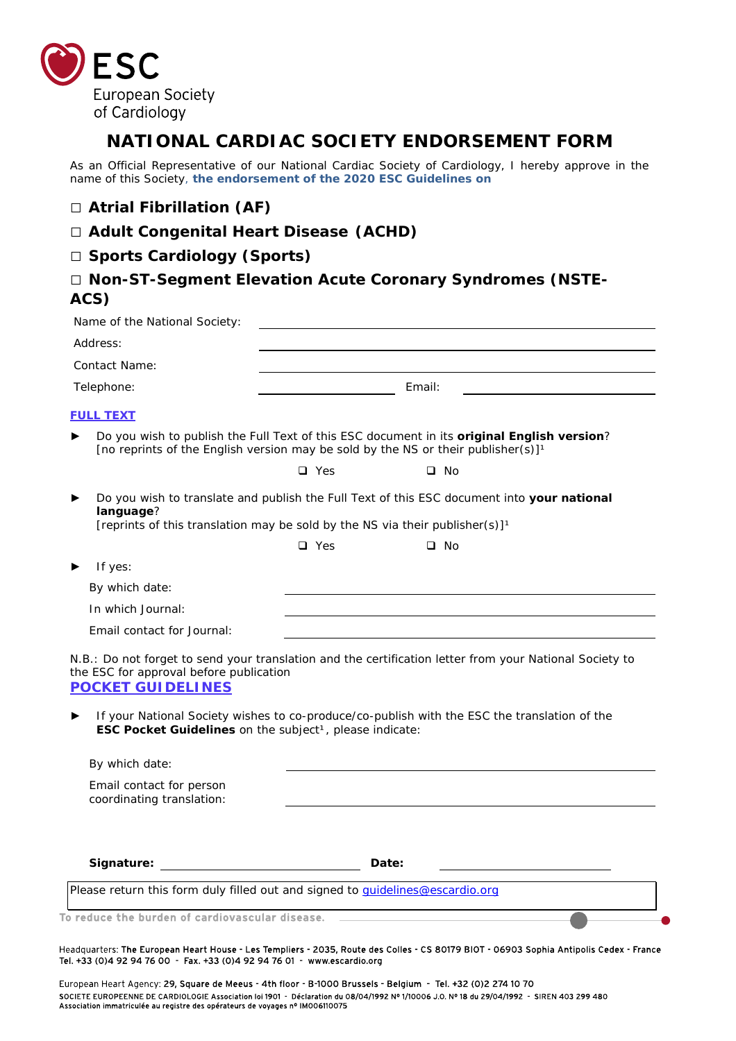

# **NATIONAL CARDIAC SOCIETY ENDORSEMENT FORM**

As an Official Representative of our National Cardiac Society of Cardiology, I hereby approve in the name of this Society, **the endorsement of the 2020 ESC Guidelines on**

#### **□ Atrial Fibrillation (AF)**

#### **□ Adult Congenital Heart Disease (ACHD)**

### **□ Sports Cardiology (Sports)**

## **□ Non-ST-Segment Elevation Acute Coronary Syndromes (NSTE-ACS)**

| Address:                                                                                                                                         |            |                                                                                                                                                                                                         |  |
|--------------------------------------------------------------------------------------------------------------------------------------------------|------------|---------------------------------------------------------------------------------------------------------------------------------------------------------------------------------------------------------|--|
| Contact Name:                                                                                                                                    |            |                                                                                                                                                                                                         |  |
| Telephone:                                                                                                                                       |            | Email:                                                                                                                                                                                                  |  |
| <b>FULL TEXT</b>                                                                                                                                 |            |                                                                                                                                                                                                         |  |
|                                                                                                                                                  |            | Do you wish to publish the Full Text of this ESC document in its original English version?<br>[no reprints of the English version may be sold by the NS or their publisher(s)] <sup>1</sup>             |  |
|                                                                                                                                                  | $\Box$ Yes | $\square$ No                                                                                                                                                                                            |  |
| language?<br>[reprints of this translation may be sold by the NS via their publisher(s)] <sup>1</sup>                                            |            | Do you wish to translate and publish the Full Text of this ESC document into your national                                                                                                              |  |
|                                                                                                                                                  | $\Box$ Yes | $\Box$ No                                                                                                                                                                                               |  |
| If yes:                                                                                                                                          |            |                                                                                                                                                                                                         |  |
| By which date:                                                                                                                                   |            |                                                                                                                                                                                                         |  |
| In which Journal:                                                                                                                                |            |                                                                                                                                                                                                         |  |
|                                                                                                                                                  |            |                                                                                                                                                                                                         |  |
| Email contact for Journal:                                                                                                                       |            |                                                                                                                                                                                                         |  |
| the ESC for approval before publication<br><b>POCKET GUIDELINES</b><br>▶<br>ESC Pocket Guidelines on the subject <sup>1</sup> , please indicate: |            | N.B.: Do not forget to send your translation and the certification letter from your National Society to<br>If your National Society wishes to co-produce/co-publish with the ESC the translation of the |  |
| By which date:                                                                                                                                   |            |                                                                                                                                                                                                         |  |
| Email contact for person<br>coordinating translation:                                                                                            |            |                                                                                                                                                                                                         |  |

Headquarters: The European Heart House - Les Templiers - 2035, Route des Colles - CS 80179 BIOT - 06903 Sophia Antipolis Cedex - France Tel. +33 (0)4 92 94 76 00 - Fax. +33 (0)4 92 94 76 01 - www.escardio.org